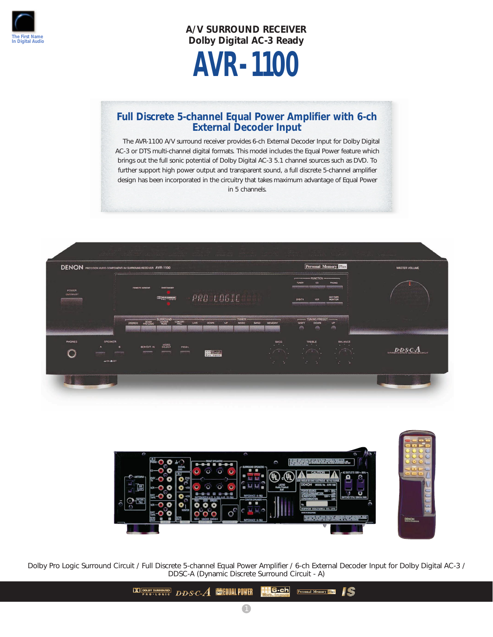

**A/V SURROUND RECEIVER Dolby Digital AC-3 Ready** 

# **AVR-1100**

## **Full Discrete 5-channel Equal Power Amplifier with 6-ch External Decoder Input**

The AVR-1100 A/V surround receiver provides 6-ch External Decoder Input for Dolby Digital AC-3 or DTS multi-channel digital formats. This model includes the Equal Power feature which brings out the full sonic potential of Dolby Digital AC-3 5.1 channel sources such as DVD. To further support high power output and transparent sound, a full discrete 5-channel amplifier design has been incorporated in the circuitry that takes maximum advantage of Equal Power in 5 channels.





Dolby Pro Logic Surround Circuit / Full Discrete 5-channel Equal Power Amplifier / 6-ch External Decoder Input for Dolby Digital AC-3 / DDSC-A (Dynamic Discrete Surround Circuit - A)

> DO DOLBY SURROUND D.D.S.C. A COLUMN POWER **00:06-ch Personal Memory Plus**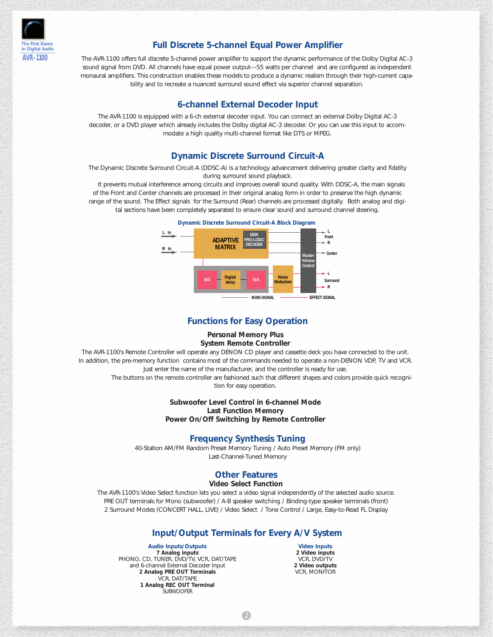

### **Full Discrete 5-channel Equal Power Amplifier**

The AVR-1100 offers full discrete 5-channel power amplifier to support the dynamic performance of the Dolby Digital AC-3 sound signal from DVD. All channels have equal power output---55 watts per channel and are configured as independent monaural amplifiers. This construction enables these models to produce a dynamic realism through their high-current capability and to recreate a nuanced surround sound effect via superior channel separation.

#### **6-channel External Decoder Input**

The AVR-1100 is equipped with a 6-ch external decoder input. You can connect an external Dolby Digital AC-3 decoder, or a DVD player which already includes the Dolby digital AC-3 decoder. Or you can use this input to accommodate a high quality multi-channel format like DTS or MPEG.

#### **Dynamic Discrete Surround Circuit-A**

The Dynamic Discrete Surround Circuit-A (DDSC-A) is a technology advancement delivering greater clarity and fidelity during surround sound playback.

It prevents mutual interference among circuits and improves overall sound quality. With DDSC-A, the main signals of the Front and Center channels are processed in their original analog form in order to preserve the high dynamic range of the sound. The Effect signals for the Surround (Rear) channels are processed digitally. Both analog and digital sections have been completely separated to ensure clear sound and surround channel steering.



#### **Functions for Easy Operation**

**Personal Memory Plus System Remote Controller**

The AVR-1100's Remote Controller will operate any DENON CD player and cassette deck you have connected to the unit. In addition, the pre-memory function contains most of the commands needed to operate a non-DENON VDP, TV and VCR. Just enter the name of the manufacturer, and the controller is ready for use.

The buttons on the remote controller are fashioned such that different shapes and colors provide quick recognition for easy operation.

#### **Subwoofer Level Control in 6-channel Mode Last Function Memory Power On/Off Switching by Remote Controller**

#### **Frequency Synthesis Tuning**

40-Station AM/FM Random Preset Memory Tuning / Auto Preset Memory (FM only) Last-Channel-Tuned Memory

## **Other Features**

**Video Select Function**

The AVR-1100's Video Select function lets you select a video signal independently of the selected audio source. PRE OUT terminals for Mono (subwoofer) / A-B speaker switching / Binding-type speaker terminals (front) 2 Surround Modes (CONCERT HALL, LIVE) / Video Select / Tone Control / Large, Easy-to-Read FL Display

#### **Input/Output Terminals for Every A/V System**

**Audio Inputs/Outputs**

**7 Analog inputs** PHONO, CD, TUNER, DVD/TV, VCR, DAT/TAPE and 6-channel External Decoder Input **2 Analog PRE OUT Terminals** VCR, DAT/TAPE **1 Analog REC OUT Terminal SUBWOOFFR** 

**Video Inputs 2 Video inputs** VCR, DVD/TV **2 Video outputs** VCR, MONITOR

2